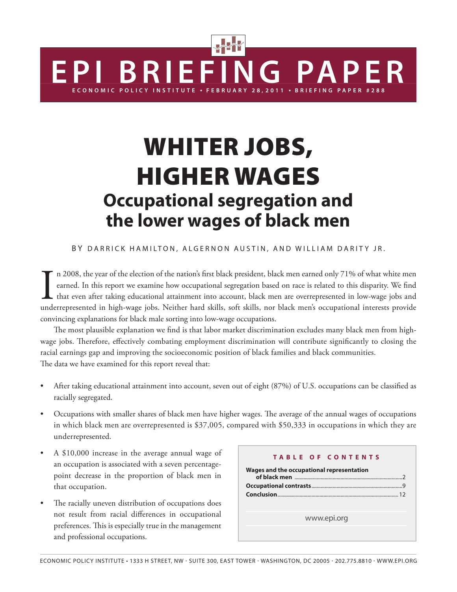# WHITER JOBS, HIGHER WAGES **Occupational segregation and the lower wages of black men**

ECONOMIC POLICY INSTITUTE • FEBRUARY 28,2011 • BRIEFING PAPER #288

**ERIEFING PAPE** 

BY DARRICK HAMILTON, ALGERNON AUSTIN, AND WILLIAM DARITY JR.

In 2008, the year of the election of the nation's first black president, black men earned only 71% of what white men earned. In this report we examine how occupational segregation based on race is related to this disparity n 2008, the year of the election of the nation's first black president, black men earned only 71% of what white men earned. In this report we examine how occupational segregation based on race is related to this disparity. We find that even after taking educational attainment into account, black men are overrepresented in low-wage jobs and convincing explanations for black male sorting into low-wage occupations.

The most plausible explanation we find is that labor market discrimination excludes many black men from highwage jobs. Therefore, effectively combating employment discrimination will contribute significantly to closing the racial earnings gap and improving the socioeconomic position of black families and black communities. The data we have examined for this report reveal that:

- After taking educational attainment into account, seven out of eight (87%) of U.S. occupations can be classified as racially segregated.
- Occupations with smaller shares of black men have higher wages. The average of the annual wages of occupations in which black men are overrepresented is \$37,005, compared with \$50,333 in occupations in which they are underrepresented.
- A \$10,000 increase in the average annual wage of an occupation is associated with a seven percentagepoint decrease in the proportion of black men in that occupation.
- The racially uneven distribution of occupations does not result from racial differences in occupational preferences. This is especially true in the management and professional occupations.

#### **Table of Con t e n t s**

| Wages and the occupational representation |  |
|-------------------------------------------|--|
|                                           |  |
|                                           |  |
|                                           |  |
| www.epi.org                               |  |
|                                           |  |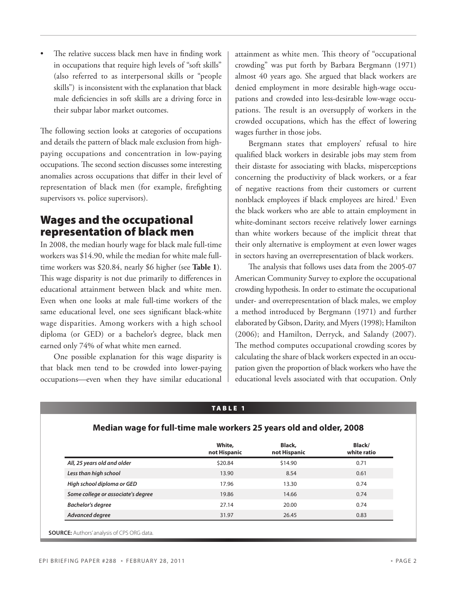The relative success black men have in finding work in occupations that require high levels of "soft skills" (also referred to as interpersonal skills or "people skills") is inconsistent with the explanation that black male deficiencies in soft skills are a driving force in their subpar labor market outcomes.

The following section looks at categories of occupations and details the pattern of black male exclusion from highpaying occupations and concentration in low-paying occupations. The second section discusses some interesting anomalies across occupations that differ in their level of representation of black men (for example, firefighting supervisors vs. police supervisors).

# Wages and the occupational representation of black men

In 2008, the median hourly wage for black male full-time workers was \$14.90, while the median for white male fulltime workers was \$20.84, nearly \$6 higher (see **Table 1**). This wage disparity is not due primarily to differences in educational attainment between black and white men. Even when one looks at male full-time workers of the same educational level, one sees significant black-white wage disparities. Among workers with a high school diploma (or GED) or a bachelor's degree, black men earned only 74% of what white men earned.

One possible explanation for this wage disparity is that black men tend to be crowded into lower-paying occupations—even when they have similar educational attainment as white men. This theory of "occupational crowding" was put forth by Barbara Bergmann (1971) almost 40 years ago. She argued that black workers are denied employment in more desirable high-wage occupations and crowded into less-desirable low-wage occupations. The result is an oversupply of workers in the crowded occupations, which has the effect of lowering wages further in those jobs.

Bergmann states that employers' refusal to hire qualified black workers in desirable jobs may stem from their distaste for associating with blacks, misperceptions concerning the productivity of black workers, or a fear of negative reactions from their customers or current nonblack employees if black employees are hired.<sup>1</sup> Even the black workers who are able to attain employment in white-dominant sectors receive relatively lower earnings than white workers because of the implicit threat that their only alternative is employment at even lower wages in sectors having an overrepresentation of black workers.

The analysis that follows uses data from the 2005-07 American Community Survey to explore the occupational crowding hypothesis. In order to estimate the occupational under- and overrepresentation of black males, we employ a method introduced by Bergmann (1971) and further elaborated by Gibson, Darity, and Myers (1998); Hamilton (2006); and Hamilton, Derryck, and Salandy (2007). The method computes occupational crowding scores by calculating the share of black workers expected in an occupation given the proportion of black workers who have the educational levels associated with that occupation. Only

#### TABLE 1

|                                    | White,<br>not Hispanic | Black,<br>not Hispanic | Black/<br>white ratio |
|------------------------------------|------------------------|------------------------|-----------------------|
| All, 25 years old and older        | \$20.84                | \$14.90                | 0.71                  |
| Less than high school              | 13.90                  | 8.54                   | 0.61                  |
| High school diploma or GED         | 17.96                  | 13.30                  | 0.74                  |
| Some college or associate's degree | 19.86                  | 14.66                  | 0.74                  |
| <b>Bachelor's degree</b>           | 27.14                  | 20.00                  | 0.74                  |
| Advanced degree                    | 31.97                  | 26.45                  | 0.83                  |

## **Median wage for full-time male workers 25 years old and older, 2008**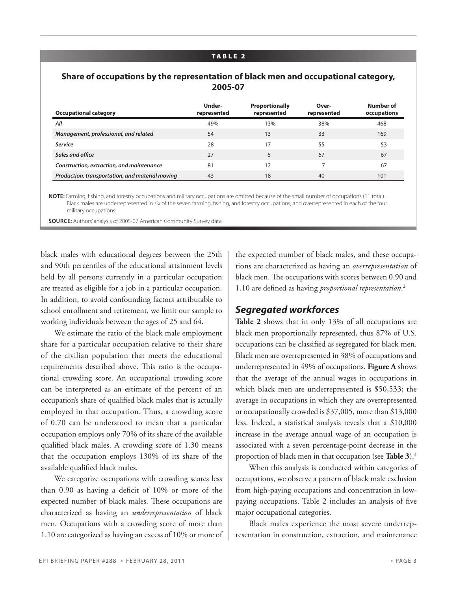#### TABLE 2

#### **Share of occupations by the representation of black men and occupational category, 2005-07**

| <b>Occupational category</b>                    | Under-<br>represented | <b>Proportionally</b><br>represented | Over-<br>represented | Number of<br>occupations |
|-------------------------------------------------|-----------------------|--------------------------------------|----------------------|--------------------------|
| All                                             | 49%                   | 13%                                  | 38%                  | 468                      |
| Management, professional, and related           | 54                    | 13                                   | 33                   | 169                      |
| <b>Service</b>                                  | 28                    | 17                                   | 55                   | 53                       |
| Sales and office                                | 27                    | 6                                    | 67                   | 67                       |
| Construction, extraction, and maintenance       | 81                    | 12                                   |                      | 67                       |
| Production, transportation, and material moving | 43                    | 18                                   | 40                   | 101                      |

**note:** Farming, fishing, and forestry occupations and military occupations are omitted because of the small number of occupations (11 total). Black males are underrepresented in six of the seven farming, fishing, and forestry occupations, and overrepresented in each of the four military occupations.

**Source:** Authors' analysis of 2005-07 American Community Survey data.

black males with educational degrees between the 25th and 90th percentiles of the educational attainment levels held by all persons currently in a particular occupation are treated as eligible for a job in a particular occupation. In addition, to avoid confounding factors attributable to school enrollment and retirement, we limit our sample to working individuals between the ages of 25 and 64.

We estimate the ratio of the black male employment share for a particular occupation relative to their share of the civilian population that meets the educational requirements described above. This ratio is the occupational crowding score. An occupational crowding score can be interpreted as an estimate of the percent of an occupation's share of qualified black males that is actually employed in that occupation. Thus, a crowding score of 0.70 can be understood to mean that a particular occupation employs only 70% of its share of the available qualified black males. A crowding score of 1.30 means that the occupation employs 130% of its share of the available qualified black males.

We categorize occupations with crowding scores less than 0.90 as having a deficit of 10% or more of the expected number of black males. These occupations are characterized as having an *underrepresentation* of black men. Occupations with a crowding score of more than 1.10 are categorized as having an excess of 10% or more of the expected number of black males, and these occupations are characterized as having an *overrepresentation* of black men. The occupations with scores between 0.90 and 1.10 are defined as having *proportional representation*. 2

## *Segregated workforces*

**Table 2** shows that in only 13% of all occupations are black men proportionally represented, thus 87% of U.S. occupations can be classified as segregated for black men. Black men are overrepresented in 38% of occupations and underrepresented in 49% of occupations. **Figure A** shows that the average of the annual wages in occupations in which black men are underrepresented is \$50,533; the average in occupations in which they are overrepresented or occupationally crowded is \$37,005, more than \$13,000 less. Indeed, a statistical analysis reveals that a \$10,000 increase in the average annual wage of an occupation is associated with a seven percentage-point decrease in the proportion of black men in that occupation (see **Table 3**).3

When this analysis is conducted within categories of occupations, we observe a pattern of black male exclusion from high-paying occupations and concentration in lowpaying occupations. Table 2 includes an analysis of five major occupational categories.

Black males experience the most severe underrepresentation in construction, extraction, and maintenance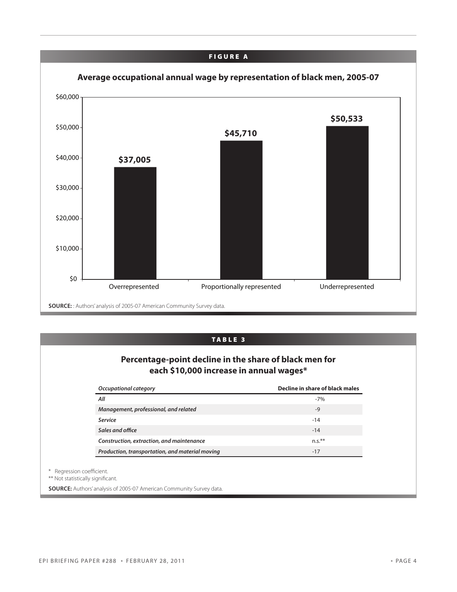#### F ig u re a



#### TABLE 3

## **Percentage-point decline in the share of black men for each \$10,000 increase in annual wages\***

| Occupational category                           | Decline in share of black males |
|-------------------------------------------------|---------------------------------|
| All                                             | $-7%$                           |
| Management, professional, and related           | $-9$                            |
| Service                                         | $-14$                           |
| Sales and office                                | $-14$                           |
| Construction, extraction, and maintenance       | $n.5.^{**}$                     |
| Production, transportation, and material moving | $-17$                           |

\* Regression coefficient.

\*\* Not statistically significant.

**Source:** Authors' analysis of 2005-07 American Community Survey data.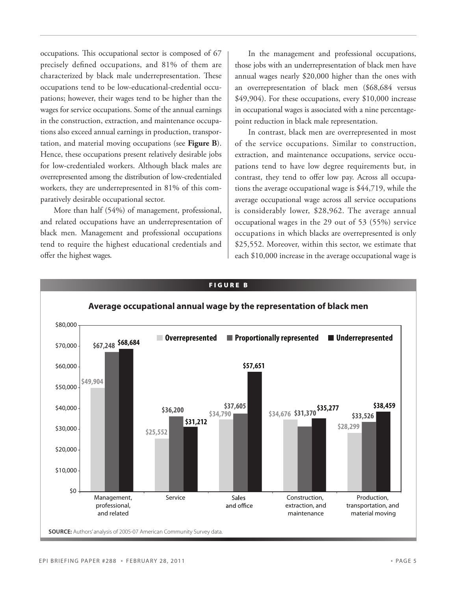occupations. This occupational sector is composed of 67 precisely defined occupations, and 81% of them are characterized by black male underrepresentation. These occupations tend to be low-educational-credential occupations; however, their wages tend to be higher than the wages for service occupations. Some of the annual earnings in the construction, extraction, and maintenance occupations also exceed annual earnings in production, transportation, and material moving occupations (see **Figure B**). Hence, these occupations present relatively desirable jobs for low-credentialed workers. Although black males are overrepresented among the distribution of low-credentialed workers, they are underrepresented in 81% of this comparatively desirable occupational sector.

More than half (54%) of management, professional, and related occupations have an underrepresentation of black men. Management and professional occupations tend to require the highest educational credentials and offer the highest wages.

In the management and professional occupations, those jobs with an underrepresentation of black men have annual wages nearly \$20,000 higher than the ones with an overrepresentation of black men (\$68,684 versus \$49,904). For these occupations, every \$10,000 increase in occupational wages is associated with a nine percentagepoint reduction in black male representation.

In contrast, black men are overrepresented in most of the service occupations. Similar to construction, extraction, and maintenance occupations, service occupations tend to have low degree requirements but, in contrast, they tend to offer low pay. Across all occupations the average occupational wage is \$44,719, while the average occupational wage across all service occupations is considerably lower, \$28,962. The average annual occupational wages in the 29 out of 53 (55%) service occupations in which blacks are overrepresented is only \$25,552. Moreover, within this sector, we estimate that each \$10,000 increase in the average occupational wage is

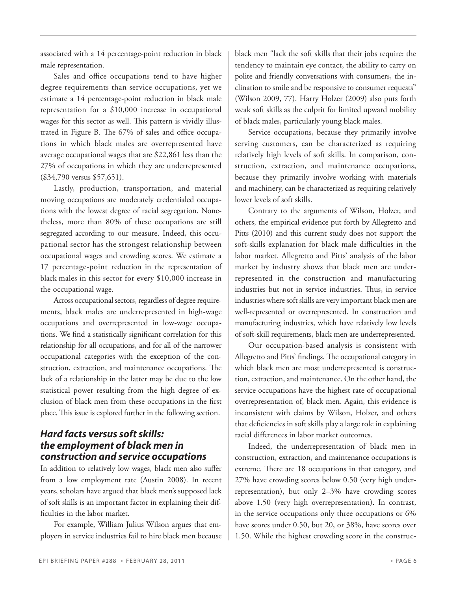associated with a 14 percentage-point reduction in black male representation.

Sales and office occupations tend to have higher degree requirements than service occupations, yet we estimate a 14 percentage-point reduction in black male representation for a \$10,000 increase in occupational wages for this sector as well. This pattern is vividly illustrated in Figure B. The 67% of sales and office occupations in which black males are overrepresented have average occupational wages that are \$22,861 less than the 27% of occupations in which they are underrepresented (\$34,790 versus \$57,651).

Lastly, production, transportation, and material moving occupations are moderately credentialed occupations with the lowest degree of racial segregation. Nonetheless, more than 80% of these occupations are still segregated according to our measure. Indeed, this occupational sector has the strongest relationship between occupational wages and crowding scores. We estimate a 17 percentage-point reduction in the representation of black males in this sector for every \$10,000 increase in the occupational wage.

Across occupational sectors, regardless of degree requirements, black males are underrepresented in high-wage occupations and overrepresented in low-wage occupations. We find a statistically significant correlation for this relationship for all occupations, and for all of the narrower occupational categories with the exception of the construction, extraction, and maintenance occupations. The lack of a relationship in the latter may be due to the low statistical power resulting from the high degree of exclusion of black men from these occupations in the first place. This issue is explored further in the following section.

## *Hard facts versus soft skills: the employment of black men in construction and service occupations*

In addition to relatively low wages, black men also suffer from a low employment rate (Austin 2008). In recent years, scholars have argued that black men's supposed lack of soft skills is an important factor in explaining their difficulties in the labor market.

For example, William Julius Wilson argues that employers in service industries fail to hire black men because black men "lack the soft skills that their jobs require: the tendency to maintain eye contact, the ability to carry on polite and friendly conversations with consumers, the inclination to smile and be responsive to consumer requests" (Wilson 2009, 77). Harry Holzer (2009) also puts forth weak soft skills as the culprit for limited upward mobility of black males, particularly young black males.

Service occupations, because they primarily involve serving customers, can be characterized as requiring relatively high levels of soft skills. In comparison, construction, extraction, and maintenance occupations, because they primarily involve working with materials and machinery, can be characterized as requiring relatively lower levels of soft skills.

Contrary to the arguments of Wilson, Holzer, and others, the empirical evidence put forth by Allegretto and Pitts (2010) and this current study does not support the soft-skills explanation for black male difficulties in the labor market. Allegretto and Pitts' analysis of the labor market by industry shows that black men are underrepresented in the construction and manufacturing industries but not in service industries. Thus, in service industries where soft skills are very important black men are well-represented or overrepresented. In construction and manufacturing industries, which have relatively low levels of soft-skill requirements, black men are underrepresented.

Our occupation-based analysis is consistent with Allegretto and Pitts' findings. The occupational category in which black men are most underrepresented is construction, extraction, and maintenance. On the other hand, the service occupations have the highest rate of occupational overrepresentation of, black men. Again, this evidence is inconsistent with claims by Wilson, Holzer, and others that deficiencies in soft skills play a large role in explaining racial differences in labor market outcomes.

Indeed, the underrepresentation of black men in construction, extraction, and maintenance occupations is extreme. There are 18 occupations in that category, and 27% have crowding scores below 0.50 (very high underrepresentation), but only 2–3% have crowding scores above 1.50 (very high overrepresentation). In contrast, in the service occupations only three occupations or 6% have scores under 0.50, but 20, or 38%, have scores over 1.50. While the highest crowding score in the construc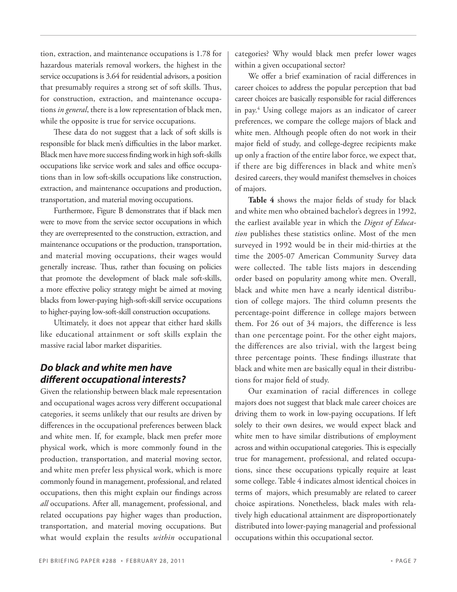tion, extraction, and maintenance occupations is 1.78 for hazardous materials removal workers, the highest in the service occupations is 3.64 for residential advisors, a position that presumably requires a strong set of soft skills. Thus, for construction, extraction, and maintenance occupations *in general*, there is a low representation of black men, while the opposite is true for service occupations.

These data do not suggest that a lack of soft skills is responsible for black men's difficulties in the labor market. Black men have more success finding work in high soft-skills occupations like service work and sales and office occupations than in low soft-skills occupations like construction, extraction, and maintenance occupations and production, transportation, and material moving occupations.

Furthermore, Figure B demonstrates that if black men were to move from the service sector occupations in which they are overrepresented to the construction, extraction, and maintenance occupations or the production, transportation, and material moving occupations, their wages would generally increase. Thus, rather than focusing on policies that promote the development of black male soft-skills, a more effective policy strategy might be aimed at moving blacks from lower-paying high-soft-skill service occupations to higher-paying low-soft-skill construction occupations.

Ultimately, it does not appear that either hard skills like educational attainment or soft skills explain the massive racial labor market disparities.

## *Do black and white men have different occupational interests?*

Given the relationship between black male representation and occupational wages across very different occupational categories, it seems unlikely that our results are driven by differences in the occupational preferences between black and white men. If, for example, black men prefer more physical work, which is more commonly found in the production, transportation, and material moving sector, and white men prefer less physical work, which is more commonly found in management, professional, and related occupations, then this might explain our findings across *all* occupations. After all, management, professional, and related occupations pay higher wages than production, transportation, and material moving occupations. But what would explain the results *within* occupational

categories? Why would black men prefer lower wages within a given occupational sector?

We offer a brief examination of racial differences in career choices to address the popular perception that bad career choices are basically responsible for racial differences in pay.4 Using college majors as an indicator of career preferences, we compare the college majors of black and white men. Although people often do not work in their major field of study, and college-degree recipients make up only a fraction of the entire labor force, we expect that, if there are big differences in black and white men's desired careers, they would manifest themselves in choices of majors.

**Table 4** shows the major fields of study for black and white men who obtained bachelor's degrees in 1992, the earliest available year in which the *Digest of Education* publishes these statistics online. Most of the men surveyed in 1992 would be in their mid-thirties at the time the 2005-07 American Community Survey data were collected. The table lists majors in descending order based on popularity among white men. Overall, black and white men have a nearly identical distribution of college majors. The third column presents the percentage-point difference in college majors between them. For 26 out of 34 majors, the difference is less than one percentage point. For the other eight majors, the differences are also trivial, with the largest being three percentage points. These findings illustrate that black and white men are basically equal in their distributions for major field of study.

Our examination of racial differences in college majors does not suggest that black male career choices are driving them to work in low-paying occupations. If left solely to their own desires, we would expect black and white men to have similar distributions of employment across and within occupational categories. This is especially true for management, professional, and related occupations, since these occupations typically require at least some college. Table 4 indicates almost identical choices in terms of majors, which presumably are related to career choice aspirations. Nonetheless, black males with relatively high educational attainment are disproportionately distributed into lower-paying managerial and professional occupations within this occupational sector.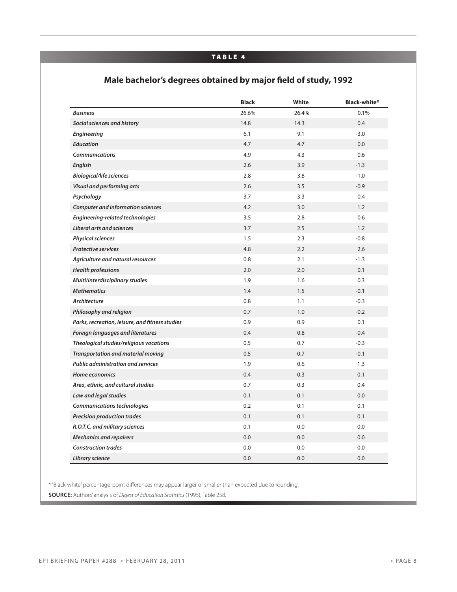## TABLE 4

# **Male bachelor's degrees obtained by major field of study, 1992**

|                                                 | <b>Black</b> | White | Black-white* |
|-------------------------------------------------|--------------|-------|--------------|
| <b>Business</b>                                 | 26.6%        | 26.4% | 0.1%         |
| Social sciences and history                     | 14.8         | 14.3  | 0.4          |
| <b>Engineering</b>                              | 6.1          | 9.1   | $-3.0$       |
| <b>Education</b>                                | 4.7          | 4.7   | 0.0          |
| <b>Communications</b>                           | 4.9          | 4.3   | 0.6          |
| English                                         | 2.6          | 3.9   | $-1.3$       |
| <b>Biological/life sciences</b>                 | 2.8          | 3.8   | $-1.0$       |
| Visual and performing arts                      | 2.6          | 3.5   | $-0.9$       |
| Psychology                                      | 3.7          | 3.3   | 0.4          |
| <b>Computer and information sciences</b>        | 4.2          | 3.0   | 1.2          |
| Engineering-related technologies                | 3.5          | 2.8   | 0.6          |
| Liberal arts and sciences                       | 3.7          | 2.5   | 1.2          |
| <b>Physical sciences</b>                        | 1.5          | 2.3   | $-0.8$       |
| <b>Protective services</b>                      | 4.8          | 2.2   | 2.6          |
| Agriculture and natural resources               | 0.8          | 2.1   | $-1.3$       |
| <b>Health professions</b>                       | 2.0          | 2.0   | 0.1          |
| Multi/interdisciplinary studies                 | 1.9          | 1.6   | 0.3          |
| <b>Mathematics</b>                              | 1.4          | 1.5   | $-0.1$       |
| <b>Architecture</b>                             | 0.8          | 1.1   | $-0.3$       |
| Philosophy and religion                         | 0.7          | 1.0   | $-0.2$       |
| Parks, recreation, leisure, and fitness studies | 0.9          | 0.9   | 0.1          |
| Foreign languages and literatures               | 0.4          | 0.8   | $-0.4$       |
| Theological studies/religious vocations         | 0.5          | 0.7   | $-0.3$       |
| Transportation and material moving              | 0.5          | 0.7   | $-0.1$       |
| <b>Public administration and services</b>       | 1.9          | 0.6   | 1.3          |
| Home economics                                  | 0.4          | 0.3   | 0.1          |
| Area, ethnic, and cultural studies              | 0.7          | 0.3   | 0.4          |
| Law and legal studies                           | 0.1          | 0.1   | 0.0          |
| <b>Communications technologies</b>              | 0.2          | 0.1   | 0.1          |
| Precision production trades                     | 0.1          | 0.1   | 0.1          |
| R.O.T.C. and military sciences                  | 0.1          | 0.0   | 0.0          |
| <b>Mechanics and repairers</b>                  | 0.0          | 0.0   | 0.0          |
| <b>Construction trades</b>                      | 0.0          | 0.0   | 0.0          |
| Library science                                 | 0.0          | 0.0   | 0.0          |

\* "Black-white" percentage-point differences may appear larger or smaller than expected due to rounding.

**Source:** Authors' analysis of *Digest of Education Statistics* (1995), Table 258.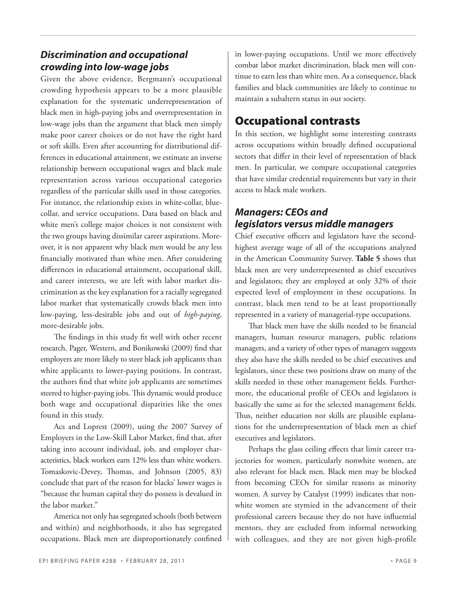## *Discrimination and occupational crowding into low-wage jobs*

Given the above evidence, Bergmann's occupational crowding hypothesis appears to be a more plausible explanation for the systematic underrepresentation of black men in high-paying jobs and overrepresentation in low-wage jobs than the argument that black men simply make poor career choices or do not have the right hard or soft skills. Even after accounting for distributional differences in educational attainment, we estimate an inverse relationship between occupational wages and black male representation across various occupational categories regardless of the particular skills used in those categories. For instance, the relationship exists in white-collar, bluecollar, and service occupations. Data based on black and white men's college major choices is not consistent with the two groups having dissimilar career aspirations. Moreover, it is not apparent why black men would be any less financially motivated than white men. After considering differences in educational attainment, occupational skill, and career interests, we are left with labor market discrimination as the key explanation for a racially segregated labor market that systematically crowds black men into low-paying, less-desirable jobs and out of *high-paying*, more-desirable jobs.

The findings in this study fit well with other recent research. Pager, Western, and Bonikowski (2009) find that employers are more likely to steer black job applicants than white applicants to lower-paying positions. In contrast, the authors find that white job applicants are sometimes steered to higher-paying jobs. This dynamic would produce both wage and occupational disparities like the ones found in this study.

Acs and Loprest (2009), using the 2007 Survey of Employers in the Low-Skill Labor Market, find that, after taking into account individual, job, and employer characteristics, black workers earn 12% less than white workers. Tomaskovic-Devey, Thomas, and Johnson (2005, 83) conclude that part of the reason for blacks' lower wages is "because the human capital they do possess is devalued in the labor market."

America not only has segregated schools (both between and within) and neighborhoods, it also has segregated occupations. Black men are disproportionately confined in lower-paying occupations. Until we more effectively combat labor market discrimination, black men will continue to earn less than white men. As a consequence, black families and black communities are likely to continue to maintain a subaltern status in our society.

# Occupational contrasts

In this section, we highlight some interesting contrasts across occupations within broadly defined occupational sectors that differ in their level of representation of black men. In particular, we compare occupational categories that have similar credential requirements but vary in their access to black male workers.

## *Managers: CEOs and legislators versus middle managers*

Chief executive officers and legislators have the secondhighest average wage of all of the occupations analyzed in the American Community Survey. **Table 5** shows that black men are very underrepresented as chief executives and legislators; they are employed at only 32% of their expected level of employment in these occupations. In contrast, black men tend to be at least proportionally represented in a variety of managerial-type occupations.

That black men have the skills needed to be financial managers, human resource managers, public relations managers, and a variety of other types of managers suggests they also have the skills needed to be chief executives and legislators, since these two positions draw on many of the skills needed in these other management fields. Furthermore, the educational profile of CEOs and legislators is basically the same as for the selected management fields. Thus, neither education nor skills are plausible explanations for the underrepresentation of black men as chief executives and legislators.

Perhaps the glass ceiling effects that limit career trajectories for women, particularly nonwhite women, are also relevant for black men. Black men may be blocked from becoming CEOs for similar reasons as minority women. A survey by Catalyst (1999) indicates that nonwhite women are stymied in the advancement of their professional careers because they do not have influential mentors, they are excluded from informal networking with colleagues, and they are not given high-profile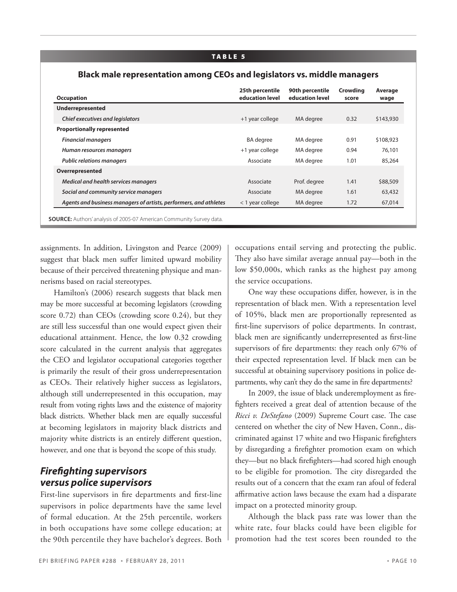#### TABLE 5

#### **Black male representation among CEOs and legislators vs. middle managers**

| <b>Occupation</b>                                                 | 25th percentile<br>education level | 90th percentile<br>education level | Crowding<br>score | Average<br>wage |
|-------------------------------------------------------------------|------------------------------------|------------------------------------|-------------------|-----------------|
| <b>Underrepresented</b>                                           |                                    |                                    |                   |                 |
| Chief executives and legislators                                  | +1 year college                    | MA degree                          | 0.32              | \$143,930       |
| <b>Proportionally represented</b>                                 |                                    |                                    |                   |                 |
| <b>Financial managers</b>                                         | <b>BA</b> degree                   | MA degree                          | 0.91              | \$108,923       |
| Human resources managers                                          | +1 year college                    | MA degree                          | 0.94              | 76,101          |
| <b>Public relations managers</b>                                  | Associate                          | MA degree                          | 1.01              | 85,264          |
| Overrepresented                                                   |                                    |                                    |                   |                 |
| Medical and health services managers                              | Associate                          | Prof. degree                       | 1.41              | \$88,509        |
| Social and community service managers                             | Associate                          | MA degree                          | 1.61              | 63,432          |
| Agents and business managers of artists, performers, and athletes | $<$ 1 year college                 | MA degree                          | 1.72              | 67,014          |

assignments. In addition, Livingston and Pearce (2009) suggest that black men suffer limited upward mobility because of their perceived threatening physique and mannerisms based on racial stereotypes.

Hamilton's (2006) research suggests that black men may be more successful at becoming legislators (crowding score 0.72) than CEOs (crowding score 0.24), but they are still less successful than one would expect given their educational attainment. Hence, the low 0.32 crowding score calculated in the current analysis that aggregates the CEO and legislator occupational categories together is primarily the result of their gross underrepresentation as CEOs. Their relatively higher success as legislators, although still underrepresented in this occupation, may result from voting rights laws and the existence of majority black districts. Whether black men are equally successful at becoming legislators in majority black districts and majority white districts is an entirely different question, however, and one that is beyond the scope of this study.

## *Firefighting supervisors versus police supervisors*

First-line supervisors in fire departments and first-line supervisors in police departments have the same level of formal education. At the 25th percentile, workers in both occupations have some college education; at the 90th percentile they have bachelor's degrees. Both occupations entail serving and protecting the public. They also have similar average annual pay—both in the low \$50,000s, which ranks as the highest pay among the service occupations.

One way these occupations differ, however, is in the representation of black men. With a representation level of 105%, black men are proportionally represented as first-line supervisors of police departments. In contrast, black men are significantly underrepresented as first-line supervisors of fire departments: they reach only 67% of their expected representation level. If black men can be successful at obtaining supervisory positions in police departments, why can't they do the same in fire departments?

In 2009, the issue of black underemployment as firefighters received a great deal of attention because of the *Ricci v. DeStefano* (2009) Supreme Court case. The case centered on whether the city of New Haven, Conn., discriminated against 17 white and two Hispanic firefighters by disregarding a firefighter promotion exam on which they—but no black firefighters—had scored high enough to be eligible for promotion. The city disregarded the results out of a concern that the exam ran afoul of federal affirmative action laws because the exam had a disparate impact on a protected minority group.

Although the black pass rate was lower than the white rate, four blacks could have been eligible for promotion had the test scores been rounded to the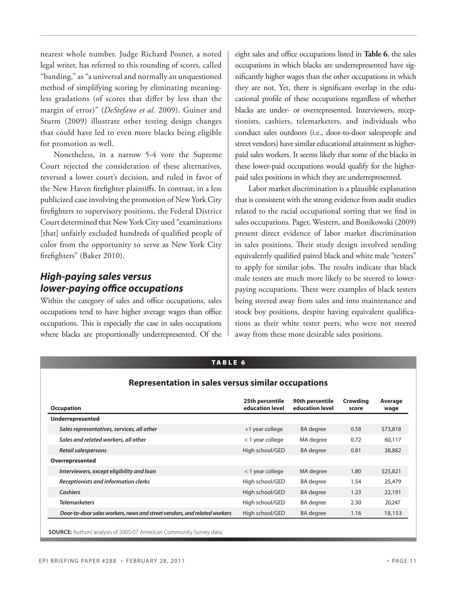nearest whole number. Judge Richard Posner, a noted legal writer, has referred to this rounding of scores, called "banding," as "a universal and normally an unquestioned method of simplifying scoring by eliminating meaningless gradations (of scores that differ by less than the margin of error)" (*DeStefano et al.* 2009). Guiner and Sturm (2009) illustrate other testing design changes that could have led to even more blacks being eligible for promotion as well.

Nonetheless, in a narrow 5-4 vote the Supreme Court rejected the consideration of these alternatives, reversed a lower court's decision, and ruled in favor of the New Haven firefighter plaintiffs. In contrast, in a less publicized case involving the promotion of New York City firefighters to supervisory positions, the Federal District Court determined that New York City used "examinations [that] unfairly excluded hundreds of qualified people of color from the opportunity to serve as New York City firefighters" (Baker 2010).

## *High-paying sales versus lower-paying office occupations*

Within the category of sales and office occupations, sales occupations tend to have higher average wages than office occupations. This is especially the case in sales occupations where blacks are proportionally underrepresented. Of the eight sales and office occupations listed in **Table 6**, the sales occupations in which blacks are underrepresented have significantly higher wages than the other occupations in which they are not. Yet, there is significant overlap in the educational profile of these occupations regardless of whether blacks are under- or overrepresented. Interviewers, receptionists, cashiers, telemarketers, and individuals who conduct sales outdoors (i.e., door-to-door salespeople and street vendors) have similar educational attainment as higherpaid sales workers. It seems likely that some of the blacks in these lower-paid occupations would qualify for the higherpaid sales positions in which they are underrepresented.

Labor market discrimination is a plausible explanation that is consistent with the strong evidence from audit studies related to the racial occupational sorting that we find in sales occupations. Pager, Western, and Bonikowski (2009) present direct evidence of labor market discrimination in sales positions. Their study design involved sending equivalently qualified paired black and white male "testers" to apply for similar jobs. The results indicate that black male testers are much more likely to be steered to lowerpaying occupations. There were examples of black testers being steered away from sales and into maintenance and stock boy positions, despite having equivalent qualifications as their white tester peers, who were not steered away from these more desirable sales positions.

#### TABLE 6

#### **Representation in sales versus similar occupations**

| <b>Occupation</b>                                                        | 25th percentile<br>education level | 90th percentile<br>education level | Crowding<br>score | Average<br>wage |
|--------------------------------------------------------------------------|------------------------------------|------------------------------------|-------------------|-----------------|
| Underrepresented                                                         |                                    |                                    |                   |                 |
| Sales representatives, services, all other                               | +1 year college                    | <b>BA</b> degree                   | 0.58              | \$73,818        |
| Sales and related workers, all other                                     | $<$ 1 year college                 | MA degree                          | 0.72              | 60,117          |
| Retail salespersons                                                      | High school/GED                    | <b>BA</b> degree                   | 0.81              | 38,882          |
| Overrepresented                                                          |                                    |                                    |                   |                 |
| Interviewers, except eligibility and loan                                | < 1 year college                   | MA degree                          | 1.80              | \$25,821        |
| Receptionists and information clerks                                     | High school/GED                    | <b>BA</b> degree                   | 1.54              | 25,479          |
| Cashiers                                                                 | High school/GED                    | <b>BA</b> degree                   | 1.23              | 22,191          |
| <b>Telemarketers</b>                                                     | High school/GED                    | <b>BA</b> degree                   | 2.30              | 20,247          |
| Door-to-door sales workers, news and street vendors, and related workers | High school/GED                    | <b>BA</b> degree                   | 1.16              | 18,153          |

**SOURCE:** Authors' analysis of 2005-07 American Community Survey data.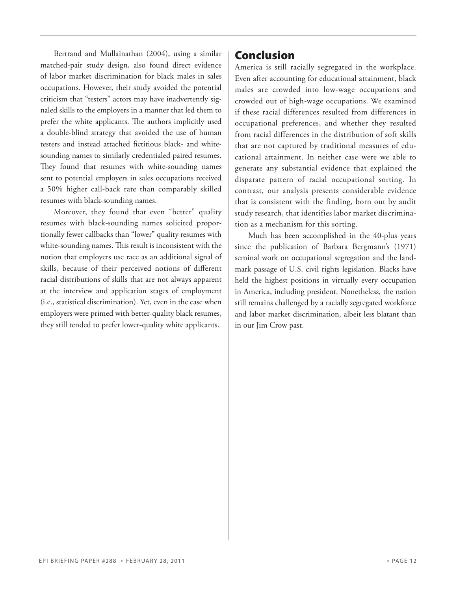Bertrand and Mullainathan (2004), using a similar matched-pair study design, also found direct evidence of labor market discrimination for black males in sales occupations. However, their study avoided the potential criticism that "testers" actors may have inadvertently signaled skills to the employers in a manner that led them to prefer the white applicants. The authors implicitly used a double-blind strategy that avoided the use of human testers and instead attached fictitious black- and whitesounding names to similarly credentialed paired resumes. They found that resumes with white-sounding names sent to potential employers in sales occupations received a 50% higher call-back rate than comparably skilled resumes with black-sounding names.

Moreover, they found that even "better" quality resumes with black-sounding names solicited proportionally fewer callbacks than "lower" quality resumes with white-sounding names. This result is inconsistent with the notion that employers use race as an additional signal of skills, because of their perceived notions of different racial distributions of skills that are not always apparent at the interview and application stages of employment (i.e., statistical discrimination). Yet, even in the case when employers were primed with better-quality black resumes, they still tended to prefer lower-quality white applicants.

# Conclusion

America is still racially segregated in the workplace. Even after accounting for educational attainment, black males are crowded into low-wage occupations and crowded out of high-wage occupations. We examined if these racial differences resulted from differences in occupational preferences, and whether they resulted from racial differences in the distribution of soft skills that are not captured by traditional measures of educational attainment. In neither case were we able to generate any substantial evidence that explained the disparate pattern of racial occupational sorting. In contrast, our analysis presents considerable evidence that is consistent with the finding, born out by audit study research, that identifies labor market discrimination as a mechanism for this sorting.

Much has been accomplished in the 40-plus years since the publication of Barbara Bergmann's (1971) seminal work on occupational segregation and the landmark passage of U.S. civil rights legislation. Blacks have held the highest positions in virtually every occupation in America, including president. Nonetheless, the nation still remains challenged by a racially segregated workforce and labor market discrimination, albeit less blatant than in our Jim Crow past.